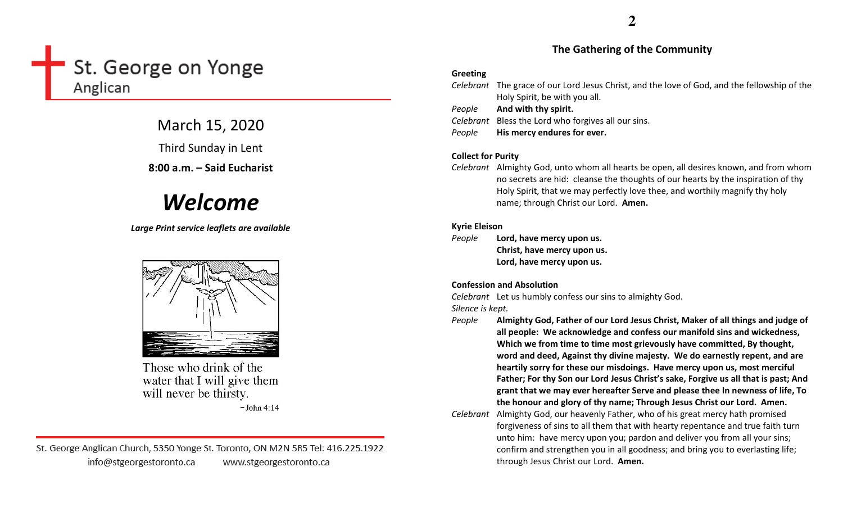# St. George on Yonge Anglican

March 15, 2020

Third Sunday in Lent

8:00 a.m. – Said Eucharist

# Welcome

Large Print service leaflets are available



Those who drink of the water that I will give them will never be thirsty.

 $-John 4:14$ 

St. George Anglican Church, 5350 Yonge St. Toronto, ON M2N 5R5 Tel: 416.225.1922 info@stgeorgestoronto.ca www.stgeorgestoronto.ca

#### The Gathering of the Community

#### Greeting

|        | Celebrant The grace of our Lord Jesus Christ, and the love of God, and the fellowship of the<br>Holy Spirit, be with you all. |
|--------|-------------------------------------------------------------------------------------------------------------------------------|
| People | And with thy spirit.                                                                                                          |
|        | Celebrant Bless the Lord who forgives all our sins.                                                                           |
| People | His mercy endures for ever.                                                                                                   |
|        |                                                                                                                               |

#### Collect for Purity

Celebrant Almighty God, unto whom all hearts be open, all desires known, and from whom no secrets are hid: cleanse the thoughts of our hearts by the inspiration of thy Holy Spirit, that we may perfectly love thee, and worthily magnify thy holy name; through Christ our Lord. Amen.

#### Kyrie Eleison

People Lord, have mercy upon us. Christ, have mercy upon us. Lord, have mercy upon us.

#### Confession and Absolution

Celebrant Let us humbly confess our sins to almighty God.

Silence is kept.

- People Almighty God, Father of our Lord Jesus Christ, Maker of all things and judge of all people: We acknowledge and confess our manifold sins and wickedness, Which we from time to time most grievously have committed, By thought, word and deed, Against thy divine majesty. We do earnestly repent, and are heartily sorry for these our misdoings. Have mercy upon us, most merciful Father; For thy Son our Lord Jesus Christ's sake, Forgive us all that is past; And grant that we may ever hereafter Serve and please thee In newness of life, To the honour and glory of thy name; Through Jesus Christ our Lord. Amen.
- Celebrant Almighty God, our heavenly Father, who of his great mercy hath promised forgiveness of sins to all them that with hearty repentance and true faith turn unto him: have mercy upon you; pardon and deliver you from all your sins; confirm and strengthen you in all goodness; and bring you to everlasting life; through Jesus Christ our Lord. Amen.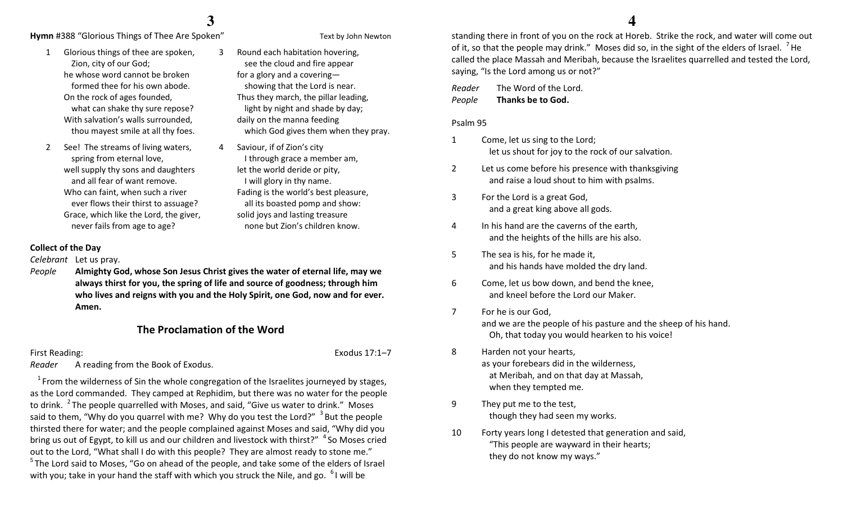### **3**

3

 Round each habitation hovering, see the cloud and fire appear for a glory and a covering—

showing that the Lord is near. Thus they march, the pillar leading, light by night and shade by day;

I through grace a member am,

Fading is the world's best pleasure, all its boasted pomp and show: solid joys and lasting treasure none but Zion's children know.

which God gives them when they pray.

daily on the manna feeding

let the world deride or pity, I will glory in thy name.

4 Saviour, if of Zion's city

**Hymn** #388 "Glorious Things of Thee Are Spoken" Text by John Newton

- 1 Glorious things of thee are spoken, Zion, city of our God; he whose word cannot be broken formed thee for his own abode. On the rock of ages founded, what can shake thy sure repose? With salvation's walls surrounded, thou mayest smile at all thy foes.
- 2 See! The streams of living waters, spring from eternal love, well supply thy sons and daughters and all fear of want remove. Who can faint, when such a river ever flows their thirst to assuage? Grace, which like the Lord, the giver, never fails from age to age?
- Collect of the Day

Celebrant Let us pray.

People Almighty God, whose Son Jesus Christ gives the water of eternal life, may we always thirst for you, the spring of life and source of goodness; through him who lives and reigns with you and the Holy Spirit, one God, now and for ever. Amen.

#### The Proclamation of the Word

First Reading: Exodus 17:1–7

Reader A reading from the Book of Exodus.

 $1$  From the wilderness of Sin the whole congregation of the Israelites journeyed by stages, as the Lord commanded. They camped at Rephidim, but there was no water for the people to drink. <sup>2</sup>The people quarrelled with Moses, and said, "Give us water to drink." Moses said to them, "Why do you quarrel with me? Why do you test the Lord?"  $3$  But the people thirsted there for water; and the people complained against Moses and said, "Why did you bring us out of Egypt, to kill us and our children and livestock with thirst?"  $\mathrm{~}^4$  So Moses cried out to the Lord, "What shall I do with this people? They are almost ready to stone me."  $5$ The Lord said to Moses, "Go on ahead of the people, and take some of the elders of Israel with you; take in your hand the staff with which you struck the Nile, and go.  $61$  will be

 standing there in front of you on the rock at Horeb. Strike the rock, and water will come out of it, so that the people may drink." Moses did so, in the sight of the elders of Israel.  $^7$  He called the place Massah and Meribah, because the Israelites quarrelled and tested the Lord,

Reader The Word of the Lord. PeopleThanks be to God.

saying, "Is the Lord among us or not?"

#### Psalm 95

- 1 Come, let us sing to the Lord; let us shout for joy to the rock of our salvation.
- 2 Let us come before his presence with thanksgivingand raise a loud shout to him with psalms.
- 3 For the Lord is a great God, and a great king above all gods.
- 4 In his hand are the caverns of the earth, and the heights of the hills are his also.
- 5 The sea is his, for he made it, and his hands have molded the dry land.
- 6 Come, let us bow down, and bend the knee, and kneel before the Lord our Maker.
- 7 For he is our God, and we are the people of his pasture and the sheep of his hand. Oh, that today you would hearken to his voice!
- 8 Harden not your hearts, as your forebears did in the wilderness, at Meribah, and on that day at Massah, when they tempted me.
- 9 They put me to the test, though they had seen my works.
- 10 Forty years long I detested that generation and said, "This people are wayward in their hearts; they do not know my ways."

#### **4**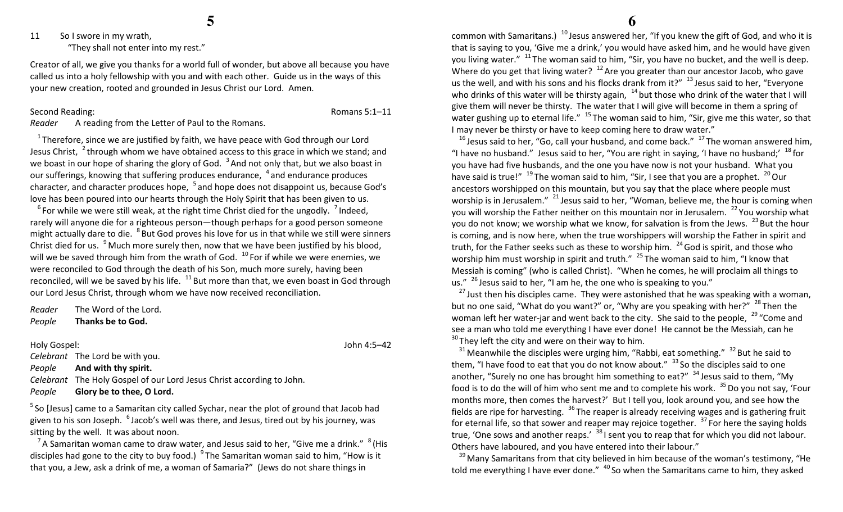**5**

11 So I swore in my wrath,

"They shall not enter into my rest."

Creator of all, we give you thanks for a world full of wonder, but above all because you have called us into a holy fellowship with you and with each other. Guide us in the ways of this your new creation, rooted and grounded in Jesus Christ our Lord. Amen.

#### Second Reading: Romans 5:1–11

Reader A reading from the Letter of Paul to the Romans.

 $1$ Therefore, since we are justified by faith, we have peace with God through our Lord Jesus Christ,  $\frac{2}{3}$ through whom we have obtained access to this grace in which we stand; and we boast in our hope of sharing the glory of God.  $3$  And not only that, but we also boast in our sufferings, knowing that suffering produces endurance, <sup>4</sup> and endurance produces character, and character produces hope, <sup>5</sup> and hope does not disappoint us, because God's love has been poured into our hearts through the Holy Spirit that has been given to us.

 $^6$  For while we were still weak, at the right time Christ died for the ungodly.  $^7$  Indeed, rarely will anyone die for a righteous person—though perhaps for a good person someone might actually dare to die. <sup>8</sup> But God proves his love for us in that while we still were sinners Christ died for us.  $9^9$  Much more surely then, now that we have been justified by his blood, will we be saved through him from the wrath of God.  $10^{\circ}$  For if while we were enemies, we were reconciled to God through the death of his Son, much more surely, having been reconciled, will we be saved by his life.  $^{11}$  But more than that, we even boast in God through our Lord Jesus Christ, through whom we have now received reconciliation.

Reader The Word of the Lord. PeopleThanks be to God.

#### Holy Gospel: John 4:5–42

Celebrant The Lord be with you.

PeopleAnd with thy spirit.

Celebrant The Holy Gospel of our Lord Jesus Christ according to John.

PeopleGlory be to thee, O Lord.

 $5$  So [Jesus] came to a Samaritan city called Sychar, near the plot of ground that Jacob had given to his son Joseph.  $6$  Jacob's well was there, and Jesus, tired out by his journey, was sitting by the well. It was about noon.

<sup>7</sup> A Samaritan woman came to draw water, and Jesus said to her, "Give me a drink."  $8$  (His disciples had gone to the city to buy food.)  $9^9$  The Samaritan woman said to him, "How is it that you, a Jew, ask a drink of me, a woman of Samaria?" (Jews do not share things in

common with Samaritans.)  $^{10}$  Jesus answered her, "If you knew the gift of God, and who it is that is saying to you, 'Give me a drink,' you would have asked him, and he would have given you living water."  $11$ The woman said to him, "Sir, you have no bucket, and the well is deep. Where do you get that living water?  $12$  Are you greater than our ancestor Jacob, who gave us the well, and with his sons and his flocks drank from it?"  $13$  Jesus said to her, "Everyone who drinks of this water will be thirsty again,  $14$  but those who drink of the water that I will give them will never be thirsty. The water that I will give will become in them a spring of water gushing up to eternal life."  $15$  The woman said to him, "Sir, give me this water, so that I may never be thirsty or have to keep coming here to draw water."

 $^{16}$  Jesus said to her, "Go, call your husband, and come back."  $^{17}$  The woman answered him, "I have no husband." Jesus said to her, "You are right in saying, 'I have no husband;'  $^{18}$  for you have had five husbands, and the one you have now is not your husband. What you have said is true!"  $^{19}$  The woman said to him, "Sir, I see that you are a prophet.  $^{20}$  Our ancestors worshipped on this mountain, but you say that the place where people must worship is in Jerusalem."  $^{21}$  Jesus said to her, "Woman, believe me, the hour is coming when you will worship the Father neither on this mountain nor in Jerusalem.  $22$  You worship what you do not know; we worship what we know, for salvation is from the Jews.  $^{23}$  But the hour is coming, and is now here, when the true worshippers will worship the Father in spirit and truth, for the Father seeks such as these to worship him.  $24$  God is spirit, and those who worship him must worship in spirit and truth."  $25$  The woman said to him, "I know that Messiah is coming" (who is called Christ). "When he comes, he will proclaim all things to us."  $26$  Jesus said to her, "I am he, the one who is speaking to you."

 $^{27}$  Just then his disciples came. They were astonished that he was speaking with a woman, but no one said, "What do you want?" or, "Why are you speaking with her?"  $^{28}$  Then the woman left her water-jar and went back to the city. She said to the people,  $^{29}$  "Come and see a man who told me everything I have ever done! He cannot be the Messiah, can he  $30$  They left the city and were on their way to him.

 $31$  Meanwhile the disciples were urging him, "Rabbi, eat something."  $32$  But he said to them, "I have food to eat that you do not know about."  $33$  So the disciples said to one another, "Surely no one has brought him something to eat?"  $34$  Jesus said to them, "My food is to do the will of him who sent me and to complete his work.  $35$  Do you not say, 'Four months more, then comes the harvest?' But I tell you, look around you, and see how the fields are ripe for harvesting.  $36$  The reaper is already receiving wages and is gathering fruit for eternal life, so that sower and reaper may rejoice together.  $37$  For here the saying holds true, 'One sows and another reaps.'  $38$  I sent you to reap that for which you did not labour. Others have laboured, and you have entered into their labour."

 $39$  Many Samaritans from that city believed in him because of the woman's testimony, "He told me everything I have ever done." <sup>40</sup> So when the Samaritans came to him, they asked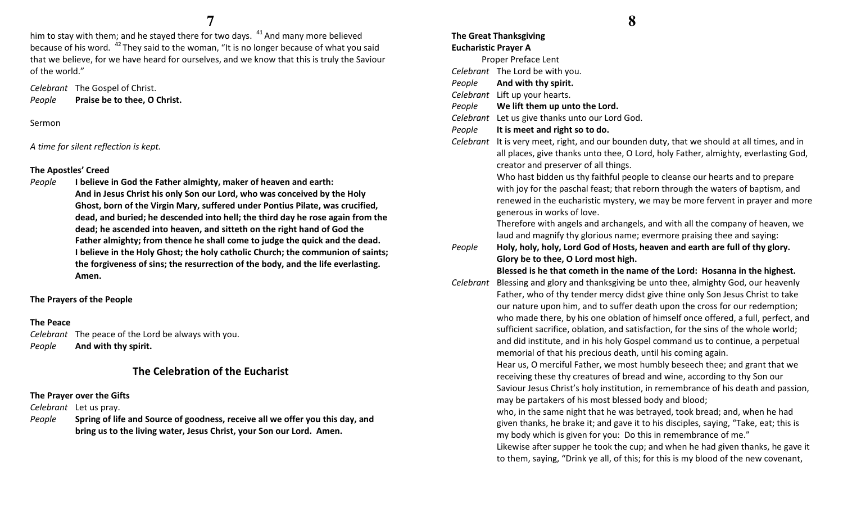him to stay with them; and he stayed there for two days.  $^{41}$  And many more believed because of his word.  $42$  They said to the woman, "It is no longer because of what you said that we believe, for we have heard for ourselves, and we know that this is truly the Saviour of the world."

Celebrant The Gospel of Christ. PeoplePraise be to thee, O Christ.

Sermon

A time for silent reflection is kept.

#### The Apostles' Creed

People I believe in God the Father almighty, maker of heaven and earth: And in Jesus Christ his only Son our Lord, who was conceived by the Holy Ghost, born of the Virgin Mary, suffered under Pontius Pilate, was crucified, dead, and buried; he descended into hell; the third day he rose again from the dead; he ascended into heaven, and sitteth on the right hand of God the Father almighty; from thence he shall come to judge the quick and the dead. I believe in the Holy Ghost; the holy catholic Church; the communion of saints; the forgiveness of sins; the resurrection of the body, and the life everlasting. Amen.

The Prayers of the People

#### The Peace

Celebrant The peace of the Lord be always with you. PeopleAnd with thy spirit.

### The Celebration of the Eucharist

#### The Prayer over the Gifts

Celebrant Let us pray.

People Spring of life and Source of goodness, receive all we offer you this day, and bring us to the living water, Jesus Christ, your Son our Lord. Amen.

#### The Great Thanksgiving Eucharistic Prayer A

Proper Preface Lent

Celebrant The Lord be with you.

- PeopleAnd with thy spirit.
- Celebrant Lift up your hearts.
- PeopleWe lift them up unto the Lord.
- Celebrant Let us give thanks unto our Lord God.
- PeopleIt is meet and right so to do.

Celebrant It is very meet, right, and our bounden duty, that we should at all times, and in all places, give thanks unto thee, O Lord, holy Father, almighty, everlasting God, creator and preserver of all things.

Who hast bidden us thy faithful people to cleanse our hearts and to prepare with joy for the paschal feast; that reborn through the waters of baptism, and renewed in the eucharistic mystery, we may be more fervent in prayer and more generous in works of love.

Therefore with angels and archangels, and with all the company of heaven, we laud and magnify thy glorious name; evermore praising thee and saying:

People Holy, holy, holy, Lord God of Hosts, heaven and earth are full of thy glory. Glory be to thee, O Lord most high.

Blessed is he that cometh in the name of the Lord: Hosanna in the highest.

Celebrant Blessing and glory and thanksgiving be unto thee, almighty God, our heavenly Father, who of thy tender mercy didst give thine only Son Jesus Christ to take our nature upon him, and to suffer death upon the cross for our redemption; who made there, by his one oblation of himself once offered, a full, perfect, and sufficient sacrifice, oblation, and satisfaction, for the sins of the whole world; and did institute, and in his holy Gospel command us to continue, a perpetual memorial of that his precious death, until his coming again.

Hear us, O merciful Father, we most humbly beseech thee; and grant that we receiving these thy creatures of bread and wine, according to thy Son our Saviour Jesus Christ's holy institution, in remembrance of his death and passion, may be partakers of his most blessed body and blood;

who, in the same night that he was betrayed, took bread; and, when he had given thanks, he brake it; and gave it to his disciples, saying, "Take, eat; this is my body which is given for you: Do this in remembrance of me."

Likewise after supper he took the cup; and when he had given thanks, he gave it to them, saying, "Drink ye all, of this; for this is my blood of the new covenant,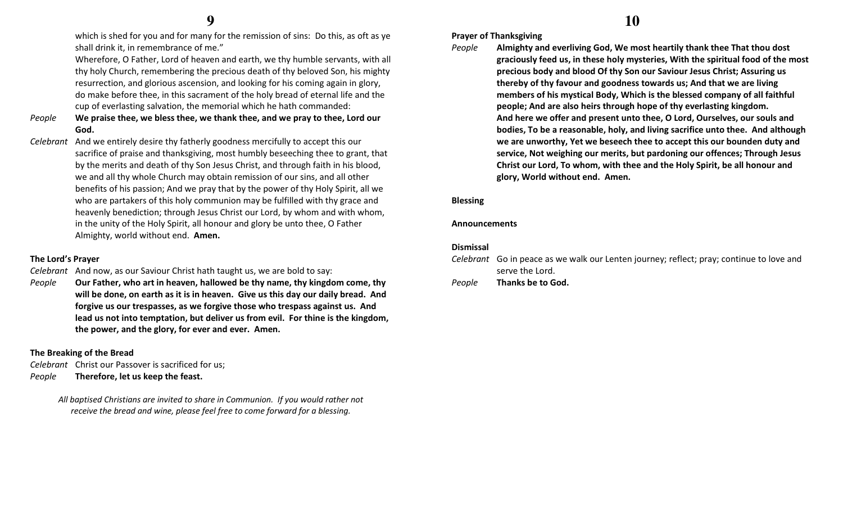which is shed for you and for many for the remission of sins: Do this, as oft as ye shall drink it, in remembrance of me."

Wherefore, O Father, Lord of heaven and earth, we thy humble servants, with all thy holy Church, remembering the precious death of thy beloved Son, his mighty resurrection, and glorious ascension, and looking for his coming again in glory, do make before thee, in this sacrament of the holy bread of eternal life and the cup of everlasting salvation, the memorial which he hath commanded:

- People We praise thee, we bless thee, we thank thee, and we pray to thee, Lord our God.
- Celebrant And we entirely desire thy fatherly goodness mercifully to accept this our sacrifice of praise and thanksgiving, most humbly beseeching thee to grant, that by the merits and death of thy Son Jesus Christ, and through faith in his blood, we and all thy whole Church may obtain remission of our sins, and all other benefits of his passion; And we pray that by the power of thy Holy Spirit, all we who are partakers of this holy communion may be fulfilled with thy grace and heavenly benediction; through Jesus Christ our Lord, by whom and with whom, in the unity of the Holy Spirit, all honour and glory be unto thee, O Father Almighty, world without end. Amen.

#### The Lord's Prayer

Celebrant And now, as our Saviour Christ hath taught us, we are bold to say:

People Our Father, who art in heaven, hallowed be thy name, thy kingdom come, thy will be done, on earth as it is in heaven. Give us this day our daily bread. And forgive us our trespasses, as we forgive those who trespass against us. And lead us not into temptation, but deliver us from evil. For thine is the kingdom, the power, and the glory, for ever and ever. Amen.

#### The Breaking of the Bread

Celebrant Christ our Passover is sacrificed for us; PeopleTherefore, let us keep the feast.

> All baptised Christians are invited to share in Communion. If you would rather not receive the bread and wine, please feel free to come forward for a blessing.

#### Prayer of Thanksgiving

People Almighty and everliving God, We most heartily thank thee That thou dost graciously feed us, in these holy mysteries, With the spiritual food of the most precious body and blood Of thy Son our Saviour Jesus Christ; Assuring us thereby of thy favour and goodness towards us; And that we are living members of his mystical Body, Which is the blessed company of all faithful people; And are also heirs through hope of thy everlasting kingdom. And here we offer and present unto thee, O Lord, Ourselves, our souls and bodies, To be a reasonable, holy, and living sacrifice unto thee. And although we are unworthy, Yet we beseech thee to accept this our bounden duty and service, Not weighing our merits, but pardoning our offences; Through Jesus Christ our Lord, To whom, with thee and the Holy Spirit, be all honour and glory, World without end. Amen.

#### Blessing

#### Announcements

#### Dismissal

| Celebrant Go in peace as we walk our Lenten journey; reflect; pray; continue to love and |
|------------------------------------------------------------------------------------------|
| serve the Lord.                                                                          |
|                                                                                          |

#### PeopleThanks be to God.